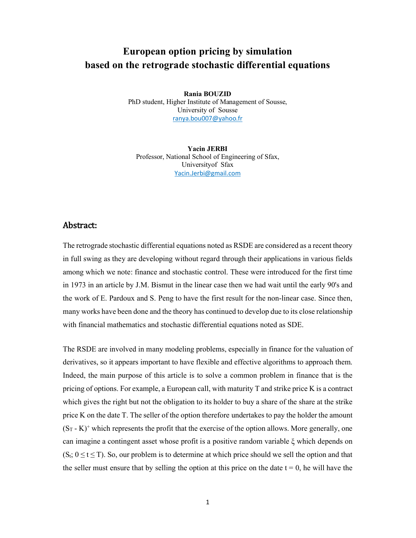## **European option pricing by simulation based on the retrograde stochastic differential equations**

**Rania BOUZID** PhD student, Higher Institute of Management of Sousse, University of Sousse ranya.bou007@yahoo.fr

**Yacin JERBI** Professor, National School of Engineering of Sfax, Universityof Sfax Yacin.Jerbi@gmail.com

## Abstract:

The retrograde stochastic differential equations noted as RSDE are considered as a recent theory in full swing as they are developing without regard through their applications in various fields among which we note: finance and stochastic control. These were introduced for the first time in 1973 in an article by J.M. Bismut in the linear case then we had wait until the early 90's and the work of E. Pardoux and S. Peng to have the first result for the non-linear case. Since then, many works have been done and the theory has continued to develop due to its close relationship with financial mathematics and stochastic differential equations noted as SDE.

The RSDE are involved in many modeling problems, especially in finance for the valuation of derivatives, so it appears important to have flexible and effective algorithms to approach them. Indeed, the main purpose of this article is to solve a common problem in finance that is the pricing of options. For example, a European call, with maturity T and strike price K is a contract which gives the right but not the obligation to its holder to buy a share of the share at the strike price K on the date T. The seller of the option therefore undertakes to pay the holder the amount  $(S_T - K)^+$  which represents the profit that the exercise of the option allows. More generally, one can imagine a contingent asset whose profit is a positive random variable ξ which depends on  $(S_t; 0 \le t \le T)$ . So, our problem is to determine at which price should we sell the option and that the seller must ensure that by selling the option at this price on the date  $t = 0$ , he will have the